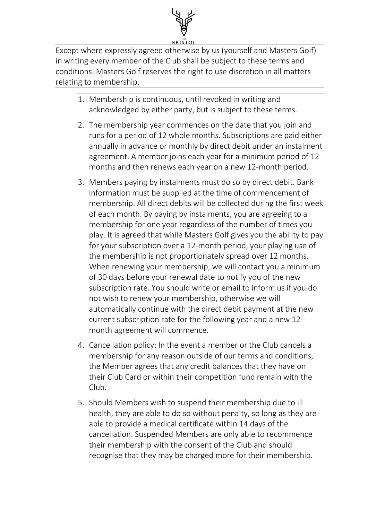

Except where expressly agreed otherwise by us (yourself and Masters Golf) in writing every member of the Club shall be subject to these terms and conditions. Masters Golf reserves the right to use discretion in all matters relating to membership.

- 1. Membership is continuous, until revoked in writing and acknowledged by either party, but is subject to these terms.
- 2. The membership year commences on the date that you join and runs for a period of 12 whole months. Subscriptions are paid either annually in advance or monthly by direct debit under an instalment agreement. A member joins each year for a minimum period of 12 months and then renews each year on a new 12-month period.
- 3. Members paying by instalments must do so by direct debit. Bank information must be supplied at the time of commencement of membership. All direct debits will be collected during the first week of each month. By paying by instalments, you are agreeing to a membership for one year regardless of the number of times you play. It is agreed that while Masters Golf gives you the ability to pay for your subscription over a 12-month period, your playing use of the membership is not proportionately spread over 12 months. When renewing your membership, we will contact you a minimum of 30 days before your renewal date to notify you of the new subscription rate. You should write or email to inform us if you do not wish to renew your membership, otherwise we will automatically continue with the direct debit payment at the new current subscription rate for the following year and a new 12 month agreement will commence.
- 4. Cancellation policy: In the event a member or the Club cancels a membership for any reason outside of our terms and conditions, the Member agrees that any credit balances that they have on their Club Card or within their competition fund remain with the Club.
- 5. Should Members wish to suspend their membership due to ill health, they are able to do so without penalty, so long as they are able to provide a medical certificate within 14 days of the cancellation. Suspended Members are only able to recommence their membership with the consent of the Club and should recognise that they may be charged more for their membership.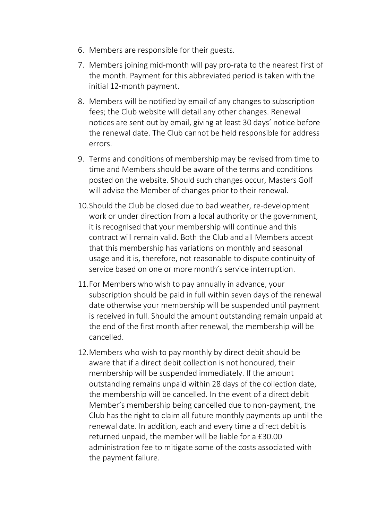- 6. Members are responsible for their guests.
- 7. Members joining mid-month will pay pro-rata to the nearest first of the month. Payment for this abbreviated period is taken with the initial 12-month payment.
- 8. Members will be notified by email of any changes to subscription fees; the Club website will detail any other changes. Renewal notices are sent out by email, giving at least 30 days' notice before the renewal date. The Club cannot be held responsible for address errors.
- 9. Terms and conditions of membership may be revised from time to time and Members should be aware of the terms and conditions posted on the website. Should such changes occur, Masters Golf will advise the Member of changes prior to their renewal.
- 10.Should the Club be closed due to bad weather, re-development work or under direction from a local authority or the government, it is recognised that your membership will continue and this contract will remain valid. Both the Club and all Members accept that this membership has variations on monthly and seasonal usage and it is, therefore, not reasonable to dispute continuity of service based on one or more month's service interruption.
- 11.For Members who wish to pay annually in advance, your subscription should be paid in full within seven days of the renewal date otherwise your membership will be suspended until payment is received in full. Should the amount outstanding remain unpaid at the end of the first month after renewal, the membership will be cancelled.
- 12.Members who wish to pay monthly by direct debit should be aware that if a direct debit collection is not honoured, their membership will be suspended immediately. If the amount outstanding remains unpaid within 28 days of the collection date, the membership will be cancelled. In the event of a direct debit Member's membership being cancelled due to non-payment, the Club has the right to claim all future monthly payments up until the renewal date. In addition, each and every time a direct debit is returned unpaid, the member will be liable for a £30.00 administration fee to mitigate some of the costs associated with the payment failure.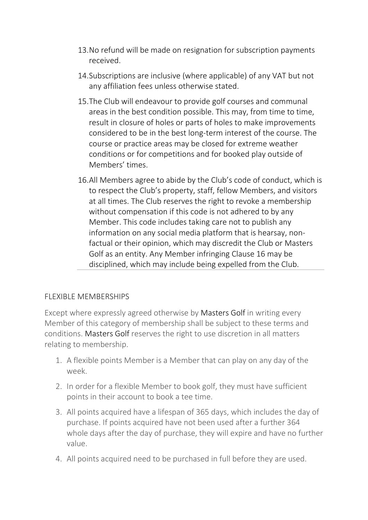- 13.No refund will be made on resignation for subscription payments received.
- 14.Subscriptions are inclusive (where applicable) of any VAT but not any affiliation fees unless otherwise stated.
- 15.The Club will endeavour to provide golf courses and communal areas in the best condition possible. This may, from time to time, result in closure of holes or parts of holes to make improvements considered to be in the best long-term interest of the course. The course or practice areas may be closed for extreme weather conditions or for competitions and for booked play outside of Members' times.
- 16.All Members agree to abide by the Club's code of conduct, which is to respect the Club's property, staff, fellow Members, and visitors at all times. The Club reserves the right to revoke a membership without compensation if this code is not adhered to by any Member. This code includes taking care not to publish any information on any social media platform that is hearsay, nonfactual or their opinion, which may discredit the Club or Masters Golf as an entity. Any Member infringing Clause 16 may be disciplined, which may include being expelled from the Club.

## FLEXIBLE MEMBERSHIPS

Except where expressly agreed otherwise by Masters Golf in writing every Member of this category of membership shall be subject to these terms and conditions. Masters Golf reserves the right to use discretion in all matters relating to membership.

- 1. A flexible points Member is a Member that can play on any day of the week.
- 2. In order for a flexible Member to book golf, they must have sufficient points in their account to book a tee time.
- 3. All points acquired have a lifespan of 365 days, which includes the day of purchase. If points acquired have not been used after a further 364 whole days after the day of purchase, they will expire and have no further value.
- 4. All points acquired need to be purchased in full before they are used.